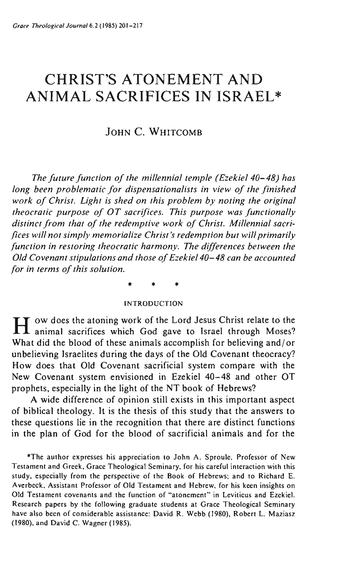# **CHRIST'S ATONEMENT AND ANIMAL SACRIFICES IN ISRAEL\***

# JOHN C. WHITCOMB

*The future function of the millennial temple (Ezekiel 40-48) has long been problematic for dispensationalists in view of the finished work of Christ. Light is shed on this problem by noting the original theocratic purpose of OT sacrifices. This purpose was functionally distinct from that of the redemptive work of Christ. Millennial sacrifices will not simply memorialize Christ's redemption but will primarily function in restoring theocratic harmony. The differences between the Old Covenant stipulations and those of Ezekiel 40-48 can be accounted for in terms of this solution.* 

\* \* \*

#### INTRODUCTION

H OW does the atoning work of the Lord Jesus Christ relate to the animal sacrifices which God gave to Israel through Moses? What did the blood of these animals accomplish for believing and/or unbelieving Israelites during the days of the Old Covenant theocracy? How does that Old Covenant sacrificial system compare with the New Covenant system envisioned in Ezekiel 40-48 and other OT prophets, especially in the light of the NT book of Hebrews?

A wide difference of opinion still exists in this important aspect of biblical theology. It is the thesis of this study that the answers to these questions lie in the recognition that there are distinct functions in the plan of God for the blood of sacrificial animals and for the

**\*Thc author expresses his appreciation to John A. Sproule, Professor of New Testament and Greek, Grace Theological Seminary, for his careful interaction with this**  study, especially from the perspective of the Book of Hebrews; and to Richard E. **Averbeck, Assistant Professor of Old Testament and Hebrew. for his keen insights on Old Testament covenants and the function of ""atonement" in Leviticus and Ezekie1.**  Research papers by the following graduate students at Grace Theological Seminary have also been of considerable assistance: David R. Webb (1980), Robert L. Maziasz (1980), and David C. Wagner (1985).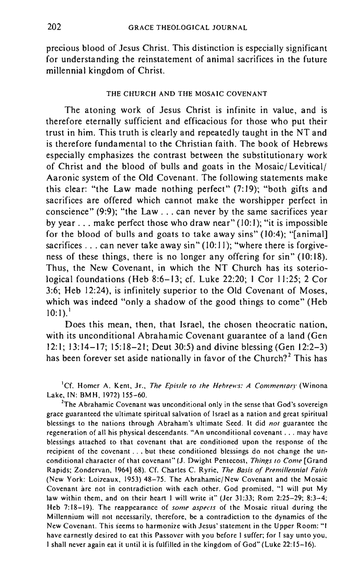precious blood of Jesus Christ. This distinction is especially significant for understanding the reinstatement of animal sacrifices in the future millennial kingdom of Christ.

#### THE CHURCH AND THE MOSAIC COVENANT

The atoning work of Jesus Christ is infinite in value, and is therefore eternally sufficient and efficacious for those who put their trust in him. This truth is clearly and repeatedly taught in the NT and is therefore fundamental to the Christian faith. The book of Hebrews especially emphasizes the contrast between the substitutionary work of Christ and the blood of bulls and goats in the Mosaic/ Levitical/ Aaronic system of the Old Covenant. The following statements make this clear: "the Law made nothing perfect" (7:19); "both gifts and sacrifices are offered which cannot make the worshipper perfect in conscience" (9:9); "the Law ... can never by the same sacrifices year by year ... make perfect those who draw near" (10:1); "it is impossible for the blood of bulls and goats to take away sins" (10:4); "[animal] sacrifices  $\ldots$  can never take away sin" (10:11); "where there is forgiveness of these things, there is no longer any offering for sin" (10:18). Thus, the New Covenant, in which the NT Church has its soteriological foundations (Heb 8:6-13; cf. Luke 22:20; I Cor 11:25; 2 Cor 3:6; Heb 12:24), is infinitely superior to the Old Covenant of Moses, which was indeed "only a shadow of the good things to come" (Heb 10: I).' .

Does this mean, then, that Israel, the chosen theocratic nation, with its unconditional Abrahamic Covenant guarantee of a land (Gen 12:1; 13:14-17; 15:18-21; Deut 30:5) and divine blessing (Gen 12:2-3) has been forever set aside nationally in favor of the Church?<sup>2</sup> This has

**lef. Homer A. Kent, Jr.,** *The Epistle to the Hebrews: A Commentary* **(Winona**  Lake. IN: BMH. 1972) 155-60.

<sup>2</sup>The Abrahamic Covenant was unconditional only in the sense that God's sovereign **grace guaranteed the ultimate spiritual salvation of Israel as a nation and great spiritual blessings to the nations through Abraham's uhimate Seed. It did** *not* **guarantee the regeneration of all his physical descendants. "An unconditional covenant ... may have blessings attached to that covenant that are conditioned upon the response of the recipient of the covenant ... but these conditioned blessings do not change the unconditional character of that covenant" (J. Dwight Pentecost,** *Things to Come* **[Grand**  Rapids: Zondervan, 1964] 68). Cf. Charles C. Ryrie, *The Basis of Premillennial Faith*  (New York: Loizeaux, 1953) 48-75. The Abrahamic/New Covenant and the Mosaic **Covenant are not in contradiction with each other. God promised, "I wi]) put My**  law within them, and on their heart I will write it" (Jer 31:33; Rom 2:25-29; 8:3-4; **Heb 7:18-]9). The reappearance of** *some aspects* **of the Mosaic ritual during the Millennium wi]) not necessarily, therefore, be a contradiction to the dynamics of the New Covenant. This seems to harmonize with Jesus' statement in the Upper Room:"1 have earnestly desired to eat this Passover with you before 1 suffer; for 1 say unto you,**  I shall never again eat it until it is fulfilled in the kingdom of God" (Luke 22: 15-16).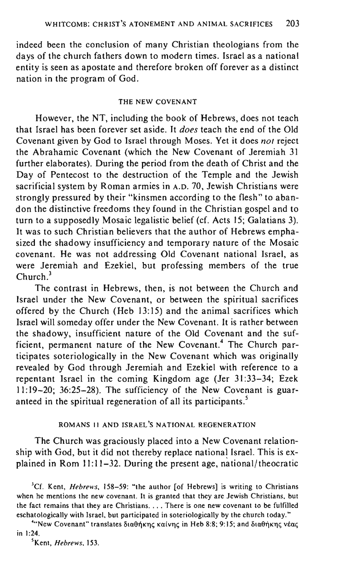indeed been the conclusion of many Christian theologians from the days of the church fathers down to modern times. Israel as a national entity is seen as apostate and therefore broken off forever as a distinct nation in the program of God.

#### THE NEW COVENANT

However, the NT, including the book of Hebrews, does not teach that Israel has been forever set aside. It *does* teach the end of the Old Covenant given by God to Israel through Moses. Yet it does *not* reject the Abrahamic Covenant (which the New Covenant of Jeremiah 31 further elaborates). During the period from the death of Christ and the Day of Pentecost to the destruction of the Temple and the Jewish sacrificial system by Roman armies in A.D. 70, Jewish Christians were strongly pressured by their "kinsmen according to the flesh" to abandon the distinctive freedoms they found in the Christian gospel and to turn to a supposedly Mosaic legalistic belief (cf. Acts 15; Galatians 3). It was to such Christian believers that the author of Hebrews emphasized the shadowy insufficiency and temporary nature of the Mosaic covenant. He was not addressing Old Covenant national Israel, as were Jeremiah and Ezekiel, but professing members of the true Church<sup>3</sup>

The contrast in Hebrews, then, is not between the Church and Israel under the New Covenant, or between the spiritual sacrifices offered by the Church (Heb 13:15) and the animal sacrifices which Israel will someday offer under the New Covenant. It is rather between the shadowy, insufficient nature of the Old Covenant and the sufficient, permanent nature of the New Covenant.<sup>4</sup> The Church participates soteriologically in the New Covenant which was originally revealed by God through Jeremiah and Ezekiel with reference to a repentant Israel in the coming Kingdom age (Jer 31 :33-34; Ezek II: 19-20; 36:25-28). The sufficiency of the New Covenant is guaranteed in the spiritual regeneration of all its participants.'

# ROMANS II AND ISRAEL'S NATIONAL REGENERATION

The Church was graciously placed into a New Covenant relationship with God, but it did not thereby replace national Israel. This is explained in Rom  $1! \cdot 11-32$ . During the present age, national/theocratic

<sup>3</sup>Cf. Kent, *Hebrews*, 158-59: "the author [of Hebrews] is writing to Christians **when he mentions the new covenant. It is granted that they are Jewish Christians, but the fact remains that they are Christians .** .. **. There is one new covenant to be fulfilled**  eschatologically with Israel, but participated in soteriologically by the church today."

<sup>4</sup> New Covenant" *translates διαθήκης καίνης in Heb 8:8*; 9:15; and διαθήκης νέας in 1:24.

'Kent, *Hebrews, 153.*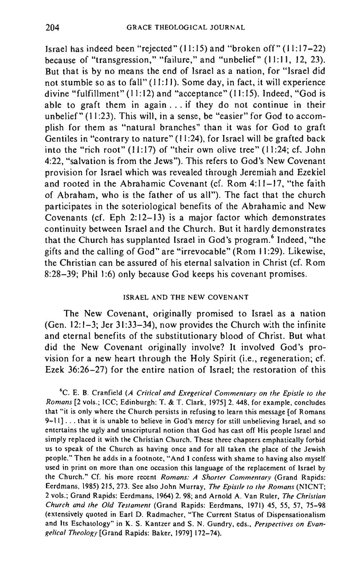Israel has indeed been "rejected" (11: 15) and "broken off" (11: 17-22) because of "transgression," "failure," and "unbelief" (11:11, 12, 23). But that is by no means the end of Israel as a nation, for "Israel did not stumble so as to fall"  $(11:11)$ . Some day, in fact, it will experience divine "fulfillment"  $(11:12)$  and "acceptance"  $(11:15)$ . Indeed, "God is able to graft them in again  $\ldots$  if they do not continue in their unbelief  $\sqrt[n]{(11.23)}$ . This will, in a sense, be "easier" for God to accomplish for them as "natural branches" than it was for God to graft Gentiles in "contrary to nature" (11:24), for Israel will be grafted back into the "rich root" (11:17) of "their own olive tree" (11:24; cf. John 4:22, "salvation is from the Jews"). This refers to God's New Covenant provision for Israel which was revealed through Jeremiah and Ezekiel and rooted in the Abrahamic Covenant (cf. Rom 4:11-17, "the faith of Abraham, who is the father of us all"). The fact that the church participates in the soteriological benefits of the Abrahamic and New Covenants (cf. Eph 2:12-13) is a major factor which demonstrates continuity between Israel and the Church. But it hardly demonstrates that the Church has supplanted Israel in God's program.<sup>6</sup> Indeed, "the gifts and the calling of God" are "irrevocable" (Rom **II** :29). Likewise, the Christian can be assured of his eternal salvation in Christ (cf. Rom 8:28-39; Phil 1:6) only because God keeps his covenant promises.

#### ISRAEL AND THE NEW COVENANT

The New Covenant, originally promised to Israel as a nation (Gen. 12:1-3; Jer 31:33-34), now provides the Church with the infinite and eternal benefits of the substitutionary blood of Christ. But what did the New Covenant originally involve? It involved God's provision for a new heart through the Holy Spirit (i.e., regeneration; cf. Ezek 36:26-27) for the entire nation of Israel; the restoration of this

'c. E. B. Cranfield *(A Critical and Exegetical Commentary on the Epistle to the Romans* [2 vols.: ICC; Edinburgh: T. & T. Clark, 1975]2.448. for example, concludes **that "it is only where the Church persists in refusing to learn this message [of Romans**  9-11) ... that it is unable to believe in God's mercy for still unbelieving Israel, and so **entertains the ugly and unscriptural notion that God has cast off His people Israel and**  simply replaced it with the Christian Church. These three chapters emphatically forbid us to speak of the Church as having once and for all taken the place of the Jewish people."Then he adds in a footnote, "And I confess with shame to having also myself **used in print on more than one occasion this language of the replacement of Israel by**  the Church." Cf. his more recent *Romans: A Shorter Commentary* (Grand Rapids: Eerdmans. 1985) 215, 273. See also John Murray, *The Epistle to the Romans* (NICNT; 2 vols.; Grand Rapids: Eerdmans, 1964) 2. 98; and Arnold A. Van Ruler, *The Christian Church and the Old Testament* (Grand Rapids: Eerdmans, 1971) 45, 55, 57, 75-98 **(extensively quoted in Earl D. Radmacher. "The Current Status of Dispensationalism and Its Eschatology" in K. S. Kantzer and S. N. Gundry, eds.,** *Perspectives on Evan*gelical Theology [Grand Rapids: Baker, 1979] 172-74).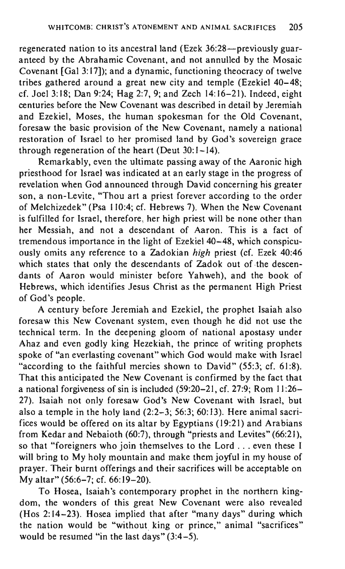regenerated nation to its ancestral land (Ezek 36:28-previously guaranteed by the Abrahamic Covenant, and not annulled by the Mosaic Covenant [Gal 3: 17]); and a dynamic, functioning theocracy of twelve tribes gathered around a great new city and temple (Ezekiel 40-48; cf. Joel 3:18; Dan 9:24; Hag 2:7, 9; and Zech 14:16-21). Indeed, eight centuries before the New Covenant was described in detail by Jeremiah and Ezekiel, Moses, the human spokesman for the Old Covenant, foresaw the basic provision of the New Covenant, namely a national restoration of Israel to her promised land by God's sovereign grace through regeneration of the heart (Deut 30: 1-14).

Remarkably, even the ultimate passing away of the Aaronic high priesthood for Israel was indicated at an early stage in the progress of revelation when God announced through David concerning his greater son, a non-Levite, "Thou art a priest forever according to the order of Melchizedek" (Psa 110:4; cf. Hebrews 7). When the New Covenant is fulfilled for Israel, therefore, her high priest wiII be none other than her Messiah, and not a descendant of Aaron. This is a fact of tremendous importance in the light of Ezekiel 40-48, which conspicuously omits any reference to a Zadokian *high* priest (cf. Ezek 40:46 which states that only the descendants of Zadok out of the descendants of Aaron would minister before Yahweh), and the book of Hebrews, which identifies Jesus Christ as the permanent High Priest of God's people.

A century before Jeremiah and Ezekiel, the prophet Isaiah also foresaw this New Covenant system, even though he did not use the technical term. In the deepening gloom of national apostasy under Ahaz and even godly king Hezekiah, the prince of writing prophets spoke of "an everlasting covenant" which God would make with Israel "according to the faithful mercies shown to David" (55:3; cf. 61:8). That this anticipated the New Covenant is confirmed by the fact that a national forgiveness of sin is included (59:20-21, cf. 27:9; Rom **11:26-** 27). Isaiah not only foresaw God's New Covenant with Israel, but also a temple in the holy land (2:2-3; 56:3; 60: 13). Here animal sacrifices would be offered on its altar by Egyptians (19:21) and Arabians from Kedar and Nebaioth (60:7), through "priests and Levites" (66:21), so that "foreigners who join themselves to the Lord ... even these I will bring to My holy mountain and make them joyful in my house of prayer. Their burnt offerings and their sacrifices will be acceptable on My altar" (56:6-7; cf. 66:19-20).

To Hosea, Isaiah's contemporary prophet in the northern kingdom, the wonders of this great New Covenant were also revealed (Hos 2: 14-23). Hosea implied that after "many days" during which the nation would be "without king or prince," animal "sacrifices" would be resumed "in the last days"  $(3:4-5)$ .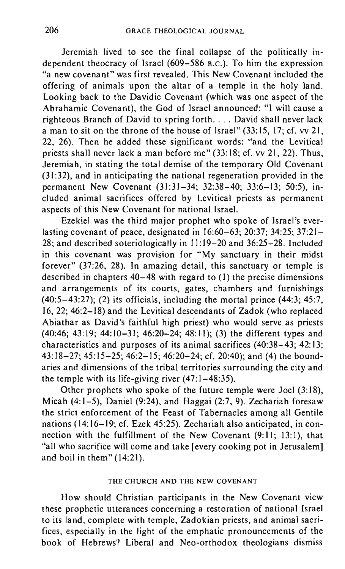Jeremiah lived to see the final collapse of the politically independent theocracy of Israel (609-586 B.C.). To him the expression "a new covenant" was first revealed. This New Covenant included the offering of animals upon the altar of a temple in the holy land. Looking back to the Davidic Covenant (which was one aspect of the Abrahamic Covenant), the God of Israel announced: "I will cause a righteous Branch of David to spring forth.... David shall never lack a man to sit on the throne of the house of Israel" (33:15. 17; cf. vv 21, 22, 26). Then he added these significant words: "and the Levitical priests shall never lack a man before me" (33: 18; cf. vv 21, 22). Thus, Jeremiah, in stating the total demise of the temporary Old Covenant (31 :32), and in anticipating the national regeneration provided in the permanent New Covenant (31:31-34; 32:38-40; 33:6-13; 50:5), included animal sacrifices offered by Levitical priests as permanent aspects of this New Covenant for national Israel.

Ezekiel was the third major prophet who spoke of Israel's everlasting covenant of peace, designated in 16:60-63; 20:37; 34:25; 37:21- 28; and described soteriologically in 11:19-20 and 36:25-28. Included in this covenant was provision for "My sanctuary in their midst forever" (37:26, 28). In amazing detail, this sanctuary or temple is described in chapters 40-48 with regard to (I) the precise dimensions and arrangements of its courts, gates, chambers and furnishings  $(40:5-43:27)$ ; (2) its officials, including the mortal prince  $(44:3; 45:7)$ 16,22; 46:2-18) and the Levitical descendants of Zadok (who replaced Abiathar as David's faithful high priest) who would serve as priests (40:46; 43:19; 44:10-31; 46:20-24; 48:11); (3) the different types and characteristics and purposes of its animal sacrifices (40:38-43; 42:13; 43:18-27; 45:15-25; 46:2-15; 46:20-24; cf. 20:40); and (4) the boundaries and dimensions of the tribal territories surrounding the city and the temple with its life-giving river (47:1-48:35).

Other prophets who spoke of the future temple were Joel  $(3:18)$ , Micah  $(4:1-5)$ , Daniel  $(9:24)$ , and Haggai  $(2:7, 9)$ . Zechariah foresaw the strict enforcement of the Feast of Tabernacles among all Gentile nations (14:16-19; cf. Ezek 45:25). Zechariah also anticipated, in connection with the fulfillment of the New Covenant (9:11; 13:1), that "all who sacrifice will come and take [every cooking pot in Jerusalem] and boil in them" (14:21).

#### THE CHURCH AND THE NEW COVENANT

How should Christian participants in the New Covenant view these prophetic utterances concerning a restoration of national Israel to its land, complete with temple, Zadokian priests, and animal sacrifices, especially in the light of the emphatic pronouncements of the book of Hebrews? Liberal and Neo-orthodox theologians dismiss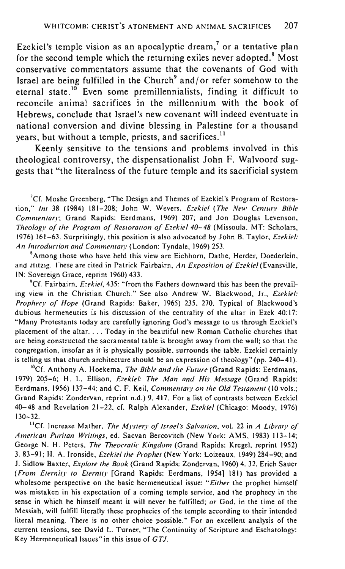Ezekiel's temple vision as an apocalyptic dream,' or a tentative plan for the second temple which the returning exiles never adopted.<sup>8</sup> Most conservative commentators assume that the covenants of God with Israel are being fulfilled in the Church $\alpha$ <sup>9</sup> and/or refer somehow to the eternal state.<sup>10</sup> Even some premillennialists, finding it difficult to reconcile animal sacrifices in the millennium with the book of Hebrews, conclude that Israel's new covenant will indeed eventuate in national conversion and divine blessing in Palestine for a thousand years, but without a temple, priests, and sacrifices.<sup>11</sup>

Keenly sensitive to the tensions and problems involved in this theological controversy, the dispensationalist John F. Walvoord suggests that "the literalness of the future temple and its sacrificial system

'Cf. Moshe Greenberg, "The Design and Themes of Ezekiel's Program of Restoration," *Inl* 38 (1984) 181-208; John W. Wevers, *Ezekiel (The New Centun" Bible Commenlary;* Grand Rapids: Eerdmans, 1969) 207; and Jon Douglas Levenson, *Theology of Ihe Program ()f ReSlOralion ()f Ezekiel 40-48* (Missoula, MT: Scholars, 1976) 161-63. Surprisingly, this position is also advocated by John B. Taylor, *Ezekiel: An Inlroduclion and Commentary* (London: Tyndale, 1969) 253.

<sup>8</sup>**Among those who have held this view are Eichhorn, Dathe, Herder, Doederlein, and HltZlg. I"hese are cited in Patrick Fairbairn,** *An Exposition of Ezekiel* (Evansville, IN: Sovereign Grace, reprint 1960) 433.

<sup>9</sup>Cf. Fairbairn. *Ezekiel,* 435: "from the Fathers downward this has been the prevailing view in the Christian Church." See also Andrew W. Blackwood, Jr., *Ezekiel: Prophecy of Hope* (Grand Rapids: Baker, 1965) 235. 270. Typical of Blackwood's **dubious hermeneutics is his discussion of the centrality of the altar in Ezek 40: 17: ""Many Protestants today are carefully ignoring God's message to us through Ezekiel's placement of the altar. ... Today in the beautiful new Roman Catholic churches that are being constructed the sacramental table is brought away from the wall; so that the**  congregation, insofar as it is physically possible, surrounds the table. Ezekiel certainly is telling us that church architecture should be an expression of theology" (pp. 240-41).

IOCf. Anthony A. Hoekema, *The Bible and Ihe Fwure* (Grand Rapids: Eerdmans, 1979) 20.5-6; H. L. Ellison, *Ezekiel: The Man and His Message* (Grand Rapids: Eerdmans, 1956) 137-44: and C. F. Keil, *Commenrary on Ihe Old Teslamenl* (10 vols.; Grand Rapids: Zondervan, reprint n.d.) 9.417. For a list of contrasts between Ezekiel 40-48 and Revelation 21-22, cf. Ralph Alexander, *Ezekiel* (Chicago: Moody, 1976) 130-32.

**lief. Increase Mather,** *The My stery of Israel's Salvation,* **vol. 22 in** *A Library of American Puritan Writings,* ed. Sacvan Bercovitch (New York: AMS, 1983) 113-14; George N. H. Peters, *The Theocralic Kingdom* (Grand Rapids: Kregel, reprint 1952) 3.83-91; H. A. Ironside, *Ezekiellhe Prophet* (New York: Loizeaux. 1949) 284-90; and J. Sidlow Baxter, *Explore Ihe Book* (Grand Rapids: Zondervan, 1960) 4. 32. Erich Sauer' *(From Eternity* 10 *Eternity* [Grand Rapids: Eerdmans, 1954] 181) has provided a wholesome perspective on the basic hermeneutical issue: "Either the prophet himself **was mistaken in his expectation of a coming temple service, and the prophecy in the**  sense in which he himself meant it will never be fulfilled; *or* God , in the time of the Messiah, will fulfill literally these prophecies of the temple according to their intended **literal meaning. There is no other choice possible." For an excellent analysis of the**  current tensions. see David L. Turner, "The Continuity of Scripture and Eschatology: Key Hermeneutical Issues" in this issue of *GTJ.*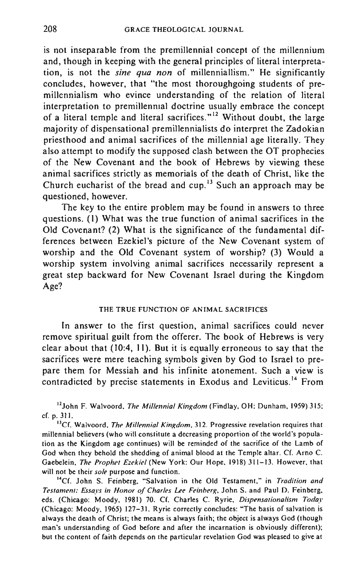is not inseparable from the premillennial concept of the millennium and, though in keeping with the general principles of literal interpretation, is not the *sine qua non* of millenniallism." He significantly concludes, however, that "the most thoroughgoing students of premillennialism who evince understanding of the relation of literal interpretation to premillenmal doctrine usually embrace the concept of a literal temple and literal sacrifices. $n^{12}$  Without doubt, the large majority of dispensational premillennialists do interpret the Zadokian priesthood and animal sacrifices of the millennial age literally. They also attempt to modify the supposed clash between the OT prophecies of the New Covenant and the book of Hebrews by viewing these animal sacrifices strictly as memorials of the death of Christ, like the Church eucharist of the bread and cup.13 Such an approach may be questioned, however.

The key to the entire problem may be found in answers to three questions. (I) What was the true function of animal sacrifices in the Old Covenant? (2) What is the significance of the fundamental differences between Ezekiel's picture of the New Covenant system of worship and the Old Covenant system of worship? (3) Would a worship system involving animal sacrifices necessarily represent a great step backward for New Covenant Israel during the Kingdom Age?

#### THE TRUE FUNCTION OF ANIMAL SACRIFICES

In answer to the first question, animal sacrifices could never remove spiritual guilt from the offerer. The book of Hebrews is very clear about that (10:4, II). But it is equally erroneous to say that the sacrifices were mere teaching symbols given by God to Israel to prepare them for Messiah and his infinite atonement. Such a view is contradicted by precise statements in Exodus and Leviticus.<sup>14</sup> From

12John F. Walvoord, *The Millennial Kingdom* (Findlay, OH: Dunham, 1959) 315; cf. p. 311.

**BCf. Walvoord,** *The Millennial Kingdom,* **312. Progressive revelation requires that millennial believers (who will constitute a decreasing proportion of the world's population as the Kingdom age continues) will be reminded of the sacrifice of the Lamb of**  God when they behold the shedding of animal blood at the Temple altar. Cf. Arno C. Gaebelein, *The Prophet Ezekiel* (New York: Our Hope, 1918) 311-13. However, that **will not be their** *sole* **purpose and function.** 

**I4-Cf. John S. Feinberg, "Salvation in the Old Testament," in** *Tradition and Testament: Essays in Honor of Charles Lee Feinberg,* **John S. and Paul D. Feinberg.**  eds. (Chicago: Moody, 1981) 70. Cf. Charles C. Ryrie, *Dispensalionalism Today*  (Chicago: Moody, 1965) 127-31. Ryrie correctly concludes: "The basis of salvation is always the death of Christ; the means is always faith; the object is always God (though **man's understanding of God before and after the incarnation is obviously different); but the content of faith depends on the particular revelation God was pleased to give at**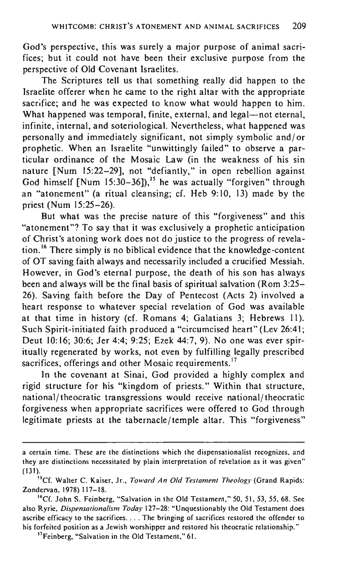God's perspective, this was surely a major purpose of animal sacrifices; but it could not have been their exclusive purpose from the perspective of Old Covenant Israelites.

The Scriptures tell us that something really did happen to the Israelite offerer when he came to the right altar with the appropriate sacrifice; and he was expected to know what would happen to him. What happened was temporal, finite, external, and legal-not eternal, infinite, internal, and soteriological. Nevertheless, what happened was personally and immediately significant, not simply symbolic and/ or prophetic. When an Israelite "unwittingly failed" to observe a particular ordinance of the Mosaic Law (in the weakness of his sin nature [Num 15:22-29], not "defiantly," in open rebellion against God himself  $\lceil \text{Num } 15:30-36 \rceil$ ,<sup>15</sup> he was actually "forgiven" through an "atonement" (a ritual cleansing; cf. Heb 9: 10, 13) made by the priest (Num 15:25-26).

But what was the precise nature of this "forgiveness" and this "atonement"? To say that it was exclusively a prophetic anticipation of Christ's atoning work does not do justice to the progress of revelation. 16 There simply is no biblical evidence that the knowledge-content of OT saving faith always and necessarily included a crucified Messiah. However, in God's eternal purpose, the death of his son has always been and always will be the final basis of spiritual salvation (Rom 3:25- 26). Saving faith before the Day of Pentecost (Acts 2) involved a heart response to whatever special revelation of God was available at that time in history (cf. Romans 4; Galatians 3; Hebrews II). Such Spirit-initiated faith produced a "circumcised heart" (Lev 26:41; Deut 10:16; 30:6; Jer 4:4; 9:25; Ezek 44:7, 9). No one was ever spiritually regenerated by works, not even by fulfilling legally prescribed sacrifices, offerings and other Mosaic requirements.<sup>17</sup>

**In** the covenant at Sinai, God provided a highly complex and rigid structure for his "kingdom of priests." Within that structure, national/ theocra tic transgressions would receive national/ theocratic forgiveness when appropriate sacrifices were offered to God through legitimate priests at the tabernacle/temple altar. This "forgiveness"

**a certain time. These are the distinctions which the dispensationalist recognizes, and they are distinctions necessitated by plain interpretation of revelation as it was given"**  (131).

<sup>&</sup>quot;Cr. Walter C. Kaiser, Jr., *Toward An Old Testament Theology* (Grand Rapids: Zondervan, 1978) 117-18.

<sup>&</sup>lt;sup>16</sup>Cf. John S. Feinberg, "Salvation in the Old Testament," 50, 51, 53, 55, 68. See also Ryrie, *Dispensationalism Today* 127-28: "Unquestionably the Old Testament does **ascribe efficacy to the sacrifices ..** .. **The bringing of sacrifices restored the offender to his forfeited position as a Jewish worshipper and restored his theocratic relationship."** 

**l1Feinberg, "'Salvation in the Old** Testament," 61.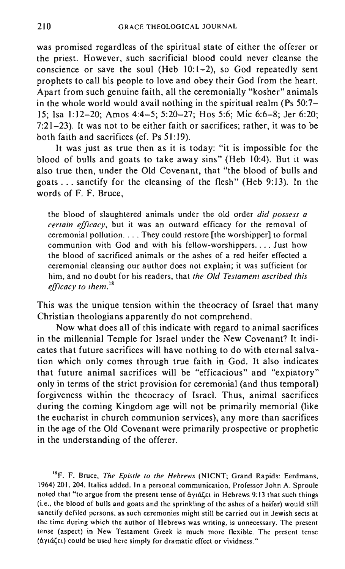was promised regardless of the spiritual state of either the offerer or the priest. However, such sacrificial blood could never cleanse the conscience or save the soul (Heb 10:1-2), so God repeatedly sent prophets to call his people to love and obey their God from the heart. Apart from such genuine faith, all the ceremonially "kosher" animals in the whole world would avail nothing in the spiritual realm (Ps  $50:7-$ 15; Isa 1:12-20; Amos 4:4-5; 5:20-27; Hos 5:6; Mic 6:6-8; Jer 6:20; 7:21-23). It was not to be either faith or sacrifices; rather, it was to be both faith and sacrifices (cf. Ps 51:19).

It was just as true then as it is today: "it is impossible for the blood of bulls and goats to take away sins" (Heb 10:4). But it was also true then, under the Old Covenant, that "the blood of bulls and goats ... sanctify for the cleansing of the flesh" (Heb 9: 13). **In** the words of F. F. Bruce,

the blood of slaughtered animals under the old order *did possess a certain efficacy,* but it was an outward efficacy for the removal of ceremonial pollution .... They could restore [the worshipper] to formal communion with God and with his fellow-worshippers .... Just how the blood of sacrificed animals or the ashes of a red heifer effected a ceremonial cleansing our author does not explain; it was sufficient for him, and no doubt for his readers, that *the Old Testament ascribed this efficacy to them."* 

This was the unique tension within the theocracy of Israel that many Christian theologians apparently do not comprehend.

Now what does all of this indicate with regard to animal sacrifices in the millennial Temple for Israel under the New Covenant? It indicates that future sacrifices will have nothing to do with eternal salvation which only comes through true faith in God. It also indicates that future animal sacrifices will be "efficacious" and "expiatory" only in terms of the strict provision for ceremonial (and thus temporal) forgiveness within the theocracy of Israel. Thus, animal sacrifices during the coming Kingdom age will not be primarily memorial (like the eucharist in church communion services), any more than sacrifices in the age of the Old Covenant were primarily prospective or prophetic in the understanding of the offerer.

I'F. F. Bruce, *The Epistle to the Hebrews* (NICNT; Grand Rapids: Eerdmans, 1964) 201, 204. Italics added. In a personal communication, Professor John A. Sproule noted that "to argue from the present tense of  $\frac{1}{4}$  of  $\frac{1}{4}$  **in Hebrews 9:13 that such things** (i.e., the blood of bulls and goats and the sprinkling of the ashes of a heifer) would still **sanctify defiled persons, as such ceremonies might still be carried out in Jewish sects at the time during which the author of Hebrews was writing, is unnecessary. The present tense (aspect) in New Testament Greek is much more flexible. The present tense**  (aYHl~El) **could be used here simply for dramatic effect or vividness."**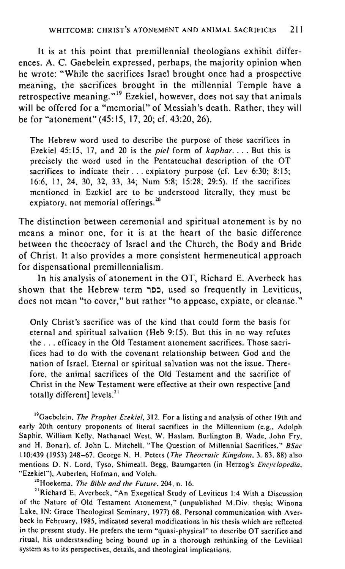It is at this point that premillennial theologians exhibit differences. A. C. Gaebelein expressed, perhaps, the majority opinion when he wrote: "While the sacrifices Israel brought once had a prospective meaning, the sacrifices brought in the millennial Temple have a retrospective meaning."" Ezekiel, however, does not say that animals will be offered for a "memorial" of Messiah's death. Rather, they will be for "atonement" (45:15, 17,20; cf. 43:20, 26).

The Hebrew word used to describe the purpose of these sacrifices in Ezekiel 45:15, 17, and 20 is the *piel* form of *kaphar ...* . But this is precisely the word used in the Pentateuchal description of the OT sacrifices to indicate their ... expiatory purpose (cf. Lev 6:30; 8:15; 16:6, II, 24, *30,* 32, 33, 34; Num 5:8; 15:28; 29;5). If the sacrifices mentioned in Ezekiel are to be understood literally, they must be expiatory, not memorial offerings.<sup>20</sup>

The distinction between ceremonial and spiritual atonement is by no means a minor one, for it is at the heart of the basic difference between the theocracy of Israel and the Church, the Body and Bride of Christ. It also provides a more consistent hermeneutical approach for dispensational premillennialism.

In his analysis of atonement in the OT, Richard E. Averbeck has shown that the Hebrew term כפר, used so frequently in Leviticus, does not mean "to cover," but rather "to appease, expiate, or cleanse."

Only Christ's sacrifice was of the kind that could form the basis for eternal and spiritual salvation (Heb 9:15). But this in no way refutes the ... efficacy in the Old Testament atonement sacrifices. Those sacrifices had to do with the covenant relationship between God and the nation of Israel. Eternal or spiritual salvation was not the issue. Therefore, the animal sacrifices of the Old Testament and the sacrifice of Christ in the New Testament were effective at their own respective [and totally different] levels.<sup>21</sup>

<sup>19</sup> Gaebelein, *The Prophet Ezekiel*, 312. For a listing and analysis of other 19th and early 20th century proponents of literal sacrifices in the Millennium (e.g., Adolph Saphir, William Kelly, Nathanael West, W. Haslam, Burlington B. Wade, John Fry, and H. Bonar), cf. John L. Mitchell, "The Question of Millennial Sacrifices." *BSac*  110:439 (1953) 248-67. George N. H. Peters *(The Theocratic Kingdom.* 3. 83. 88) also mentions D. N. Lord, Tyso. Shimeall. Begg. Baumgarten (in Herzog's *Encyclopedia,*  "Ezekiel"), Auberlen, Hofman, and Volch.

2°Hoekema. *The Bible and the Future,* 204, n. 16.

<sup>21</sup>Richard E. Averbeck, "An Exegetical Study of Leviticus 1:4 With a Discussion of the Nature of Old Testament Atonement." (unpublished M.Div. thesis; Winona Lake, IN: Grace Theological Seminary. 1977) 68. Personal communication with Averbeck in February, 1985, indicated several modifications in his thesis which are reflected in the present study. He prefers the term "quasi-physical" to describe OT sacrifice and ritual, his understanding being bound up in a thorough rethinking of the Levitical system as to its perspectives, details, and theological implications.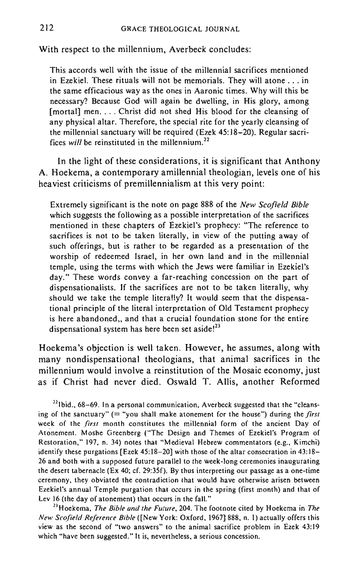With respect to the millennium, Averbeck concludes:

This accords well with the issue of the millennial sacrifices mentioned in Ezekiel. These rituals will not be memorials. They will atone ... in the same efficacious way as the ones in Aaronic times. Why will this be necessary? Because God will again be dwelling, in His glory, among [mortal] men. . . . Christ did not shed His blood for the cleansing of any physical altar. Therefore, the special rite for the yearly cleansing of the millennial sanctuary will be required (Ezek 45:18-20). Regular sacrifices *will* be reinstituted in the millennium.<sup>22</sup>

In the light of these considerations, it is significant that Anthony A. Hoekema, a contemporary amillennial theologian, levels one of his hea viest criticisms of premillennialism at this very point:

Extremely significant is the note on page 888 of the *New Scofield Bible*  which suggests the following as a possible interpretation of the sacrifices mentioned in these chapters of Ezekiel's prophecy: "The reference to sacrifices is not to be taken literally, in view of the putting away of such offerings, but is rather to be regarded as a presentation of the worship of redeemed Israel, in her own land and in the millennial temple, using the terms with which the Jews were familiar in Ezekiel's day." These words convey a far-reaching concession on the part of dispensationalists. If the sacrifices are not to be taken literally, why should we take the temple literally? It would seem that the dispensational principle of the literal interpretation of Old Testament prophecy is here abandoned, and that a crucial foundation stone for the entire dispensational system has here been set aside!<sup>23</sup>

Hoekema's objection is well taken. However, he assumes, along with many nondispensational theologians, that animal sacrifices in the millennium would involve a reinstitution of the Mosaic economy, just as if Christ had never died. Oswald T. Allis, another Reformed

 $^{22}$ lbid., 68–69. In a personal communication, Averbeck suggested that the "cleansing of the sanctuary" (= "you shall make atonement for the house") during the *first*  **week of the** *first* **month constitutes the millennial form of the ancient Day of**  Atonement. Moshe Greenberg ("The Design and Themes of Ezekiel's Program of Restoration," 197, n. 34) notes that "Medieval Hebrew commentators (e.g., Kimchi) identify these purgations [Ezek 45:18-20] with those of the altar consecration in 43:18- **26 and both with a supposed future parallel to the week-long ceremonies inaugurating**  the desert tabernacle (Ex 40; cf. 29:35f). By thus interpreting our passage as a one-time **ceremony, they obviated the contradiction that would have otherwise arisen between**  Ezekiel's annual Temple purgation that occurs in the spring (first month) and that of Lev 16 (the day of atonement) that occurs in the fall."

<sup>23</sup> Hoekema, *The Bible and the Future*, 204. The footnote cited by Hoekema in *The New Scofield Reference Bible* ([New York: Oxford, 1967] 888, n. 1) actually offers this **view as the second of "two answers" to the animal sacrifice problem in Ezek 43:]9 which "have been suggested." It is, nevertheless, a serious concession.**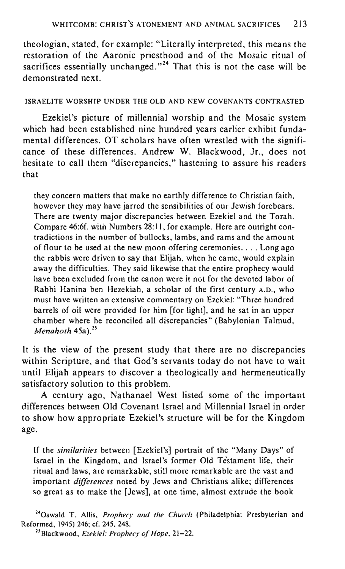theologian, stated, for example: "Literally interpreted, this means the restoration of the Aaronic priesthood and of the Mosaic ritual of sacrifices essentially unchanged. $n^{24}$  That this is not the case will be demonstrated next.

### ISRAELITE WORSHIP UNDER THE OLD AND NEW COVENANTS CONTRASTED

Ezekiel's picture of millennial worship and the Mosaic system which had been established nine hundred years earlier exhibit fundamental differences. OT scholars have often wrestled with the significance of these differences. Andrew W. Blackwood, Jr., does not hesitate to call them "discrepancies," hastening to assure his readers that

they concern matters that make no earthly difference to Christian faith, however they may have jarred the sensibilities of our Jewish forebears. There are twenty major discrepancies between Ezekiel and the Torah. Compare 46:6f. with Numbers 28: II, for example. Here are outright contradictions in the number of bullocks, lambs, and rams and the amount of flour to be used at the new moon offering ceremonies .. . . Long ago the rabbis were driven to say that Elijah, when he came, would explain away the difficulties. They said likewise that the entire prophecy would have been excluded from the canon were it not for the devoted labor of Rabbi Hanina ben Hezekiah, a scholar of the first century A.D., who must have written an extensive commentary on Ezekiel: "Three hundred barrels of oil were provided for him [for light], and he sat in an upper chamber where he reconciled all discrepancies" (Babylonian Talmud, *Menahoth* 45a)."

It is the view of the present study that there are no discrepancies within Scripture, and that God's servants today do not have to wait until Elijah appears to discover a theologically and hermeneutically satisfactory solution to this problem.

A century ago, Nathanael West listed some of the important differences between Old Covenant Israel and Millennial Israel in order to show how appropriate Ezekiel's structure will be for the Kingdom age.

If the *similarities* between [Ezekiel's] portrait of the "Many Days" of Israel in the Kingdom, and Israel's former Old Testament life, their ritual and laws, are remarkable, still more remarkable are the vast and important *differences* noted by Jews and Christians alike; differences so great as to make the [Jews], at one time , almost extrude the book

<sup>24</sup>Oswald T. Allis, *Prophecy and the Church* (Philadelphia: Presbyterian and Reformed, 1945) 246; cf. 245, 248.

<sup>25</sup> Blackwood, *Ezekiel: Prophecy of Hope*, 21-22.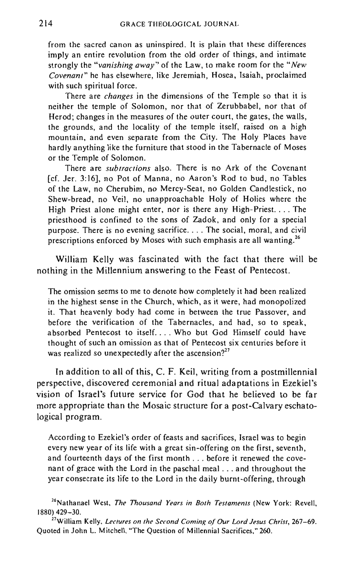from the sacred canon as uninspired. It is plain that these differences imply an entire revolution from the old order of things, and intimate strongly the *"vanishing away"* of the Law, to make room for the *"New Covenant"* he has elsewhere, like Jeremiah, Hosea, Isaiah, proclaimed with such spiritual force.

There are *changes* in the dimensions of the Temple so that it is neither the temple of Solomon, nor that of Zerubbabel, nor that of Herod; changes in the measures of the outer court, the gates, the walls, the grounds, and the locality of the temple itself, raised on a high mountain, and even separate from the City. The Holy Places have hardly anything like the furniture that stood in the Tabernacle of Moses or the Temple of Solomon.

There are *subtractions* also. There is no Ark of the Covenant [cf. Jer. 3:16], no Pot of Manna, no Aaron's Rod to bud, no Tables of the Law, no Cherubim, no Mercy-Seat, no Golden Candlestick, no Shew-bread, no Veil, no unapproachable Holy of Holies where the High Priest alone might enter, nor is there any High-Priest. ... The priesthood is confined to the sons of Zadok, and only for a special purpose. There is no evening sacrifice. . . . The social, moral, and civil prescriptions enforced by Moses with such emphasis are all wanting.<sup>26</sup>

William Kelly was fascinated with the fact that there will be nothing in the Millennium answering to the Feast of Pentecost.

The omission seems to me to denote how completely it had been realized in the highest sense in the Church, which, as it were, had monopolized it. That heavenly body had come in between the true Passover, and before the verification of the Tabernacles, and had, so to speak, absorbed Pentecost to itself. ... Who but God Himself could have thought of such an omission as that of Pentecost six centuries before it was realized so unexpectedly after the ascension?<sup>27</sup>

**In** addition to all of this, C. F. Keil, writing from a postmillennial perspective, discovered ceremonial and ritual adaptations in Ezekiel's vision of Israel's future service for God that he believed to be far more appropriate than the Mosaic structure for a post-Calvary eschatological program.

According to Ezekiel's order of feasts and sacrifices, Israel was to begin every new year of its life with a great sin-offering on the first, seventh, and fourteenth days of the first month ... before it renewed the covenant of grace with the Lord in the paschal meal ... and throughout the year consecrate its life to the Lord in the daily burnt-offering, through

**26Nathanael West,** *The Thousand Years in Both Testamenls* **(New York: Revell,**  1880) 429-30.

**21WiUiam Kelly.** *Lectures on the Second Coming of Our Lord Jesus Christ, 267-69.*  Quoted in John L. Mitchell, "The Question of Millennial Sacrifices," 260.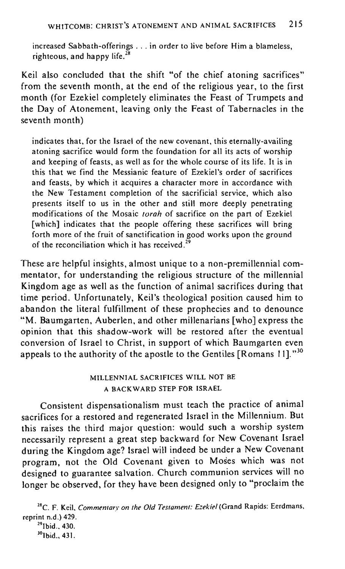increased Sabbath-offerings ... in order to live before Him a blameless, righteous, and happy life. $^{28}$ 

Keil also concluded that the shift "of the chief atoning sacrifices" from the seventh month, at the end of the religious year, to the first month (for Ezekiel completely eliminates the Feast of Trumpets and the Day of Atonement, leaving only the Feast of Tabernacles in the seventh month)

indicates that, for the Israel of the new covenant, this eternally-availing atoning sacrifice would form the foundation for all its acts of worship and keeping of feasts, as well as for the whole course of its life. It is in this that we find the Messianic feature of Ezekiel's order of sacrifices and feasts, by which it acquires a character more in accordance with the New Testament completion of the sacrificial service, which also presents itself to us in the other and still more deeply penetrating modifications of the Mosaic *torah* of sacrifice on the part of Ezekiel [which] indicates that the people offering these sacrifices will bring forth more of the fruit of sanctification in good works upon the ground of the reconciliation which it has received.<sup>2</sup>

These are helpful insights, almost unique to a non-premillennial commentator, for understanding the religious structure of the millennial Kingdom age as well as the function of animal sacrifices during that time period. Unfortunately, Keil's theological position caused him to abandon the literal fulfillment of these prophecies and to denounce "M. Baumgarten, Auberlen, and other millenarians [who] express the opinion that this shadow-work will be restored after the eventual conversion of Israel to Christ, in support of which Baumgarten even appeals to the authority of the apostle to the Gentiles [Romans 11]."<sup>30</sup>

## MILLENNIAL SACRIFICES WILL NOT BE A BACKWARD STEP FOR ISRAEL

Consistent dispensationalism must teach the practice of animal sacrifices for a restored and regenerated Israel in the Millennium. But this raises the third major question: would such a worship system necessarily represent a great step backward for New Covenant Israel during the Kingdom age? Israel will indeed be under a New Covenant program, not the Old Covenant given to Moses which was not designed to guarantee salvation. Church communion services will no longer be observed, for they have been designed only to "proclaim the

<sup>28</sup> C. F. Keil, *Commentary on the Old Testament: Ezekiel* (Grand Rapids: Eerdmans, reprint n.d.) 429.

 $^{29}$  Ibid. 430. <sup>30</sup>Ibid., 431.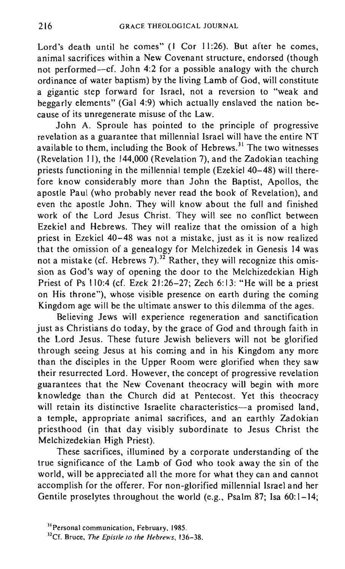Lord's death until he comes" (1 Cor 11:26). But after he comes, animal sacrifices within a New Covenant structure, endorsed (though not performed-cf. John 4:2 for a possible analogy with the church ordinance of water baptism) by the living Lamb of God, will constitute a gigantic step forward for Israel, not a reversion to "weak and beggarly elements" (Gal 4:9) which actually enslaved the nation because of its unregenerate misuse of the Law.

John A. Sproule has pointed to the principle of progressive revelation as a guarantee that millennial Israel will have the entire NT available to them, including the Book of Hebrews.<sup>31</sup> The two witnesses (Revelation II), the 144,000 (Revelation 7), and the Zadokian teaching priests functioning in the millennial temple (Ezekiel  $40-48$ ) will therefore know considerably more than John the Baptist, Apollos, the apostle Paul (who probably never read the book of Revelation), and even the apostle John. They will know about the full and finished work of the Lord Jesus Christ. They will see no conflict between Ezekiel and Hebrews. They will realize that the omission of a high priest in Ezekiel 40-48 was not a mistake, just as it is now realized that the omission of a genealogy for Melchizedek in Genesis 14 was not a mistake (cf. Hebrews 7).<sup>32</sup> Rather, they will recognize this omission as God's way of opening the door to the Melchizedekian High Priest of Ps 110:4 (cf. Ezek 21:26-27; Zech 6:13: "He will be a priest on His throne"), whose visible presence on earth during the coming Kingdom age will be the ultimate answer to this dilemma of the ages.

Believing Jews will experience regeneration and sanctification just as Christians do today, by the grace of God and through faith in the Lord Jesus. These future Jewish believers will not be glorified through seeing Jesus at his coming and in his Kingdom any more than the disciples in the Upper Room were glorified when they saw their resurrected Lord. However, the concept of progressive revelation guarantees that the New Covenant theocracy will begin with more knowledge than the Church did at Pentecost. Yet this theocracy will retain its distinctive Israelite characteristics-a promised land, a temple, appropriate animal sacrifices, and an earthly Zadokian priesthood (in that day visibly subordinate to Jesus Christ the Melchizedekian High Priest).

These sacrifices, illumined by a corporate understanding of the true significance of the Lamb of God who took away the sin of the world, will be appreciated all the more for what they can and cannot accomplish for the offerer. For non-glorified millennial Israel and her Gentile proselvtes throughout the world (e.g., Psalm 87: Isa 60:1-14;

<sup>31</sup> Personal **communication, February, 1985.** 

<sup>&</sup>quot;Cr. Bruce, *The Epistle 10 the Hebrews, 136-38.*